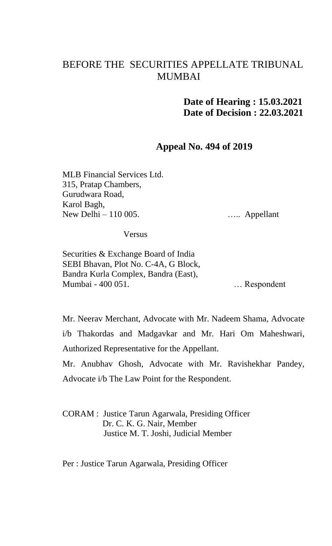# BEFORE THE SECURITIES APPELLATE TRIBUNAL MUMBAI

## **Date of Hearing : 15.03.2021 Date of Decision : 22.03.2021**

#### **Appeal No. 494 of 2019**

MLB Financial Services Ltd. 315, Pratap Chambers, Gurudwara Road, Karol Bagh, New Delhi – 110 005.

….. Appellant

Versus

Securities & Exchange Board of India SEBI Bhavan, Plot No. C-4A, G Block, Bandra Kurla Complex, Bandra (East), Mumbai - 400 051.

… Respondent

Mr. Neerav Merchant, Advocate with Mr. Nadeem Shama, Advocate i/b Thakordas and Madgavkar and Mr. Hari Om Maheshwari, Authorized Representative for the Appellant.

Mr. Anubhav Ghosh, Advocate with Mr. Ravishekhar Pandey, Advocate i/b The Law Point for the Respondent.

CORAM : Justice Tarun Agarwala, Presiding Officer Dr. C. K. G. Nair, Member Justice M. T. Joshi, Judicial Member

Per : Justice Tarun Agarwala, Presiding Officer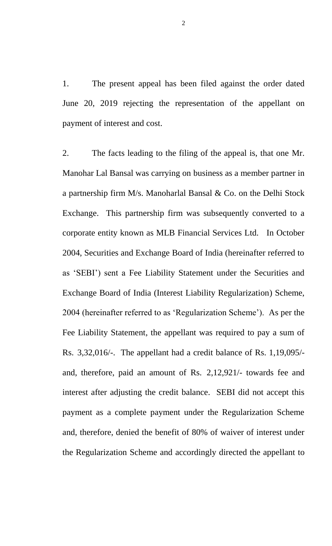1. The present appeal has been filed against the order dated June 20, 2019 rejecting the representation of the appellant on payment of interest and cost.

2. The facts leading to the filing of the appeal is, that one Mr. Manohar Lal Bansal was carrying on business as a member partner in a partnership firm M/s. Manoharlal Bansal & Co. on the Delhi Stock Exchange. This partnership firm was subsequently converted to a corporate entity known as MLB Financial Services Ltd. In October 2004, Securities and Exchange Board of India (hereinafter referred to as 'SEBI') sent a Fee Liability Statement under the Securities and Exchange Board of India (Interest Liability Regularization) Scheme, 2004 (hereinafter referred to as 'Regularization Scheme'). As per the Fee Liability Statement, the appellant was required to pay a sum of Rs. 3,32,016/-. The appellant had a credit balance of Rs. 1,19,095/ and, therefore, paid an amount of Rs. 2,12,921/- towards fee and interest after adjusting the credit balance. SEBI did not accept this payment as a complete payment under the Regularization Scheme and, therefore, denied the benefit of 80% of waiver of interest under the Regularization Scheme and accordingly directed the appellant to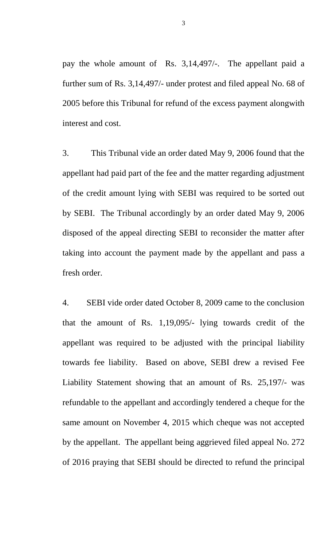pay the whole amount of Rs. 3,14,497/-. The appellant paid a further sum of Rs. 3,14,497/- under protest and filed appeal No. 68 of 2005 before this Tribunal for refund of the excess payment alongwith interest and cost.

3. This Tribunal vide an order dated May 9, 2006 found that the appellant had paid part of the fee and the matter regarding adjustment of the credit amount lying with SEBI was required to be sorted out by SEBI. The Tribunal accordingly by an order dated May 9, 2006 disposed of the appeal directing SEBI to reconsider the matter after taking into account the payment made by the appellant and pass a fresh order.

4. SEBI vide order dated October 8, 2009 came to the conclusion that the amount of Rs. 1,19,095/- lying towards credit of the appellant was required to be adjusted with the principal liability towards fee liability. Based on above, SEBI drew a revised Fee Liability Statement showing that an amount of Rs. 25,197/- was refundable to the appellant and accordingly tendered a cheque for the same amount on November 4, 2015 which cheque was not accepted by the appellant. The appellant being aggrieved filed appeal No. 272 of 2016 praying that SEBI should be directed to refund the principal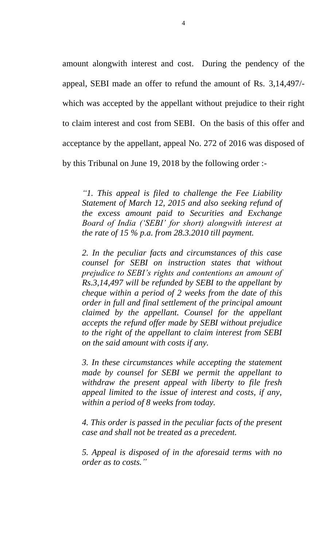amount alongwith interest and cost. During the pendency of the appeal, SEBI made an offer to refund the amount of Rs. 3,14,497/ which was accepted by the appellant without prejudice to their right to claim interest and cost from SEBI. On the basis of this offer and acceptance by the appellant, appeal No. 272 of 2016 was disposed of by this Tribunal on June 19, 2018 by the following order :-

*"1. This appeal is filed to challenge the Fee Liability Statement of March 12, 2015 and also seeking refund of the excess amount paid to Securities and Exchange Board of India ('SEBI' for short) alongwith interest at the rate of 15 % p.a. from 28.3.2010 till payment.* 

*2. In the peculiar facts and circumstances of this case counsel for SEBI on instruction states that without prejudice to SEBI's rights and contentions an amount of Rs.3,14,497 will be refunded by SEBI to the appellant by cheque within a period of 2 weeks from the date of this order in full and final settlement of the principal amount claimed by the appellant. Counsel for the appellant accepts the refund offer made by SEBI without prejudice to the right of the appellant to claim interest from SEBI on the said amount with costs if any.* 

*3. In these circumstances while accepting the statement made by counsel for SEBI we permit the appellant to withdraw the present appeal with liberty to file fresh appeal limited to the issue of interest and costs, if any, within a period of 8 weeks from today.* 

*4. This order is passed in the peculiar facts of the present case and shall not be treated as a precedent.* 

*5. Appeal is disposed of in the aforesaid terms with no order as to costs."*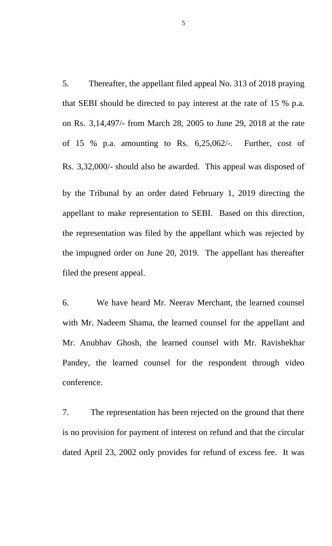5. Thereafter, the appellant filed appeal No. 313 of 2018 praying that SEBI should be directed to pay interest at the rate of 15 % p.a. on Rs. 3,14,497/- from March 28, 2005 to June 29, 2018 at the rate of 15 % p.a. amounting to Rs. 6,25,062/-. Further, cost of Rs. 3,32,000/- should also be awarded. This appeal was disposed of by the Tribunal by an order dated February 1, 2019 directing the appellant to make representation to SEBI. Based on this direction, the representation was filed by the appellant which was rejected by the impugned order on June 20, 2019. The appellant has thereafter filed the present appeal.

6. We have heard Mr. Neerav Merchant, the learned counsel with Mr. Nadeem Shama, the learned counsel for the appellant and Mr. Anubhav Ghosh, the learned counsel with Mr. Ravishekhar Pandey, the learned counsel for the respondent through video conference.

7. The representation has been rejected on the ground that there is no provision for payment of interest on refund and that the circular dated April 23, 2002 only provides for refund of excess fee. It was

5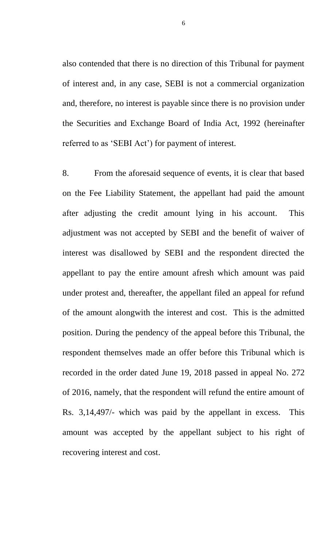also contended that there is no direction of this Tribunal for payment of interest and, in any case, SEBI is not a commercial organization and, therefore, no interest is payable since there is no provision under the Securities and Exchange Board of India Act, 1992 (hereinafter referred to as 'SEBI Act') for payment of interest.

8. From the aforesaid sequence of events, it is clear that based on the Fee Liability Statement, the appellant had paid the amount after adjusting the credit amount lying in his account. This adjustment was not accepted by SEBI and the benefit of waiver of interest was disallowed by SEBI and the respondent directed the appellant to pay the entire amount afresh which amount was paid under protest and, thereafter, the appellant filed an appeal for refund of the amount alongwith the interest and cost. This is the admitted position. During the pendency of the appeal before this Tribunal, the respondent themselves made an offer before this Tribunal which is recorded in the order dated June 19, 2018 passed in appeal No. 272 of 2016, namely, that the respondent will refund the entire amount of Rs. 3,14,497/- which was paid by the appellant in excess. This amount was accepted by the appellant subject to his right of recovering interest and cost.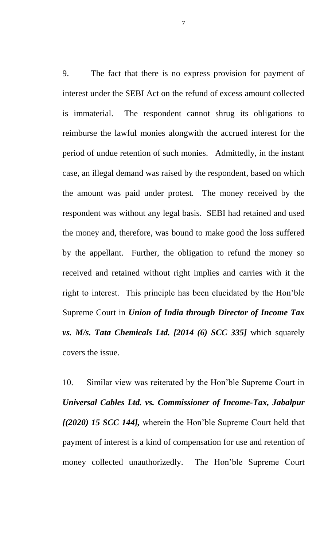9. The fact that there is no express provision for payment of interest under the SEBI Act on the refund of excess amount collected is immaterial. The respondent cannot shrug its obligations to reimburse the lawful monies alongwith the accrued interest for the period of undue retention of such monies. Admittedly, in the instant case, an illegal demand was raised by the respondent, based on which the amount was paid under protest. The money received by the respondent was without any legal basis. SEBI had retained and used the money and, therefore, was bound to make good the loss suffered by the appellant. Further, the obligation to refund the money so received and retained without right implies and carries with it the right to interest. This principle has been elucidated by the Hon'ble Supreme Court in *Union of India through Director of Income Tax vs. M/s. Tata Chemicals Ltd. [2014 (6) SCC 335]* which squarely covers the issue.

10. Similar view was reiterated by the Hon'ble Supreme Court in *Universal Cables Ltd. vs. Commissioner of Income-Tax, Jabalpur [(2020) 15 SCC 144],* wherein the Hon'ble Supreme Court held that payment of interest is a kind of compensation for use and retention of money collected unauthorizedly. The Hon'ble Supreme Court

7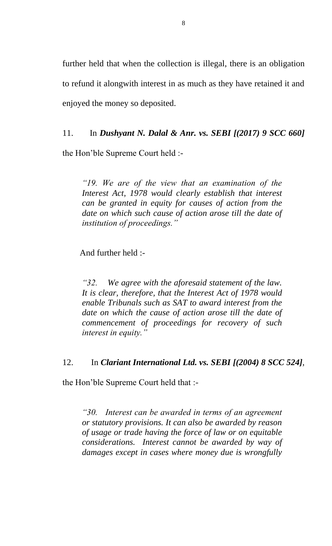further held that when the collection is illegal, there is an obligation to refund it alongwith interest in as much as they have retained it and enjoyed the money so deposited.

11. In *Dushyant N. Dalal & Anr. vs. SEBI [(2017) 9 SCC 660]*

the Hon'ble Supreme Court held :-

*"19. We are of the view that an examination of the Interest Act, 1978 would clearly establish that interest can be granted in equity for causes of action from the date on which such cause of action arose till the date of institution of proceedings."*

And further held :-

*"32. We agree with the aforesaid statement of the law. It is clear, therefore, that the Interest Act of 1978 would enable Tribunals such as SAT to award interest from the*  date on which the cause of action arose till the date of *commencement of proceedings for recovery of such interest in equity."*

### 12. In *Clariant International Ltd. vs. SEBI [(2004) 8 SCC 524]*,

the Hon'ble Supreme Court held that :-

*"30. Interest can be awarded in terms of an agreement or statutory provisions. It can also be awarded by reason of usage or trade having the force of law or on equitable considerations. Interest cannot be awarded by way of damages except in cases where money due is wrongfully*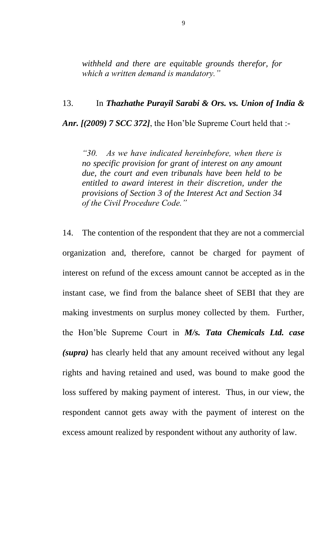*withheld and there are equitable grounds therefor, for which a written demand is mandatory."*

## 13. In *Thazhathe Purayil Sarabi & Ors. vs. Union of India &*

*Anr. [(2009) 7 SCC 372]*, the Hon'ble Supreme Court held that :-

*"30. As we have indicated hereinbefore, when there is no specific provision for grant of interest on any amount due, the court and even tribunals have been held to be entitled to award interest in their discretion, under the provisions of Section 3 of the Interest Act and Section 34 of the Civil Procedure Code."* 

14. The contention of the respondent that they are not a commercial organization and, therefore, cannot be charged for payment of interest on refund of the excess amount cannot be accepted as in the instant case, we find from the balance sheet of SEBI that they are making investments on surplus money collected by them. Further, the Hon'ble Supreme Court in *M/s. Tata Chemicals Ltd. case (supra)* has clearly held that any amount received without any legal rights and having retained and used, was bound to make good the loss suffered by making payment of interest. Thus, in our view, the respondent cannot gets away with the payment of interest on the excess amount realized by respondent without any authority of law.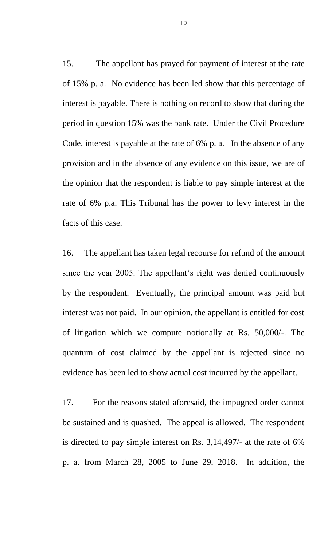15. The appellant has prayed for payment of interest at the rate of 15% p. a. No evidence has been led show that this percentage of interest is payable. There is nothing on record to show that during the period in question 15% was the bank rate. Under the Civil Procedure Code, interest is payable at the rate of 6% p. a. In the absence of any provision and in the absence of any evidence on this issue, we are of the opinion that the respondent is liable to pay simple interest at the rate of 6% p.a. This Tribunal has the power to levy interest in the facts of this case.

16. The appellant has taken legal recourse for refund of the amount since the year 2005. The appellant's right was denied continuously by the respondent. Eventually, the principal amount was paid but interest was not paid. In our opinion, the appellant is entitled for cost of litigation which we compute notionally at Rs. 50,000/-. The quantum of cost claimed by the appellant is rejected since no evidence has been led to show actual cost incurred by the appellant.

17. For the reasons stated aforesaid, the impugned order cannot be sustained and is quashed. The appeal is allowed. The respondent is directed to pay simple interest on Rs. 3,14,497/- at the rate of 6% p. a. from March 28, 2005 to June 29, 2018. In addition, the